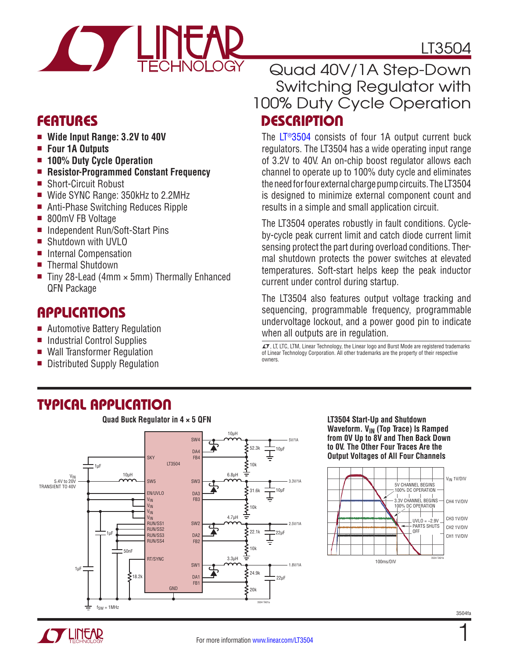

### Features

- Wide Input Range: 3.2V to 40V
- <sup>n</sup> **Four 1A Outputs**
- 100% Duty Cycle Operation
- <sup>n</sup> **Resistor-Programmed Constant Frequency**
- Short-Circuit Robust
- Wide SYNC Range: 350kHz to 2.2MHz
- Anti-Phase Switching Reduces Ripple
- 800mV FB Voltage
- Independent Run/Soft-Start Pins
- Shutdown with UVLO
- Internal Compensation
- Thermal Shutdown
- $\blacksquare$  Tiny 28-Lead (4mm  $\times$  5mm) Thermally Enhanced QFN Package

### Applications

- Automotive Battery Regulation
- $\blacksquare$  Industrial Control Supplies
- Wall Transformer Regulation
- Distributed Supply Regulation

### LT3504

### **DESCRIPTION** Quad 40V/1A Step-Down Switching Regulator with 100% Duty Cycle Operation

The [LT®3504](http://www.linear.com/LT3504) consists of four 1A output current buck regulators. The LT3504 has a wide operating input range of 3.2V to 40V. An on-chip boost regulator allows each channel to operate up to 100% duty cycle and eliminates the need for four external charge pump circuits. The LT3504 is designed to minimize external component count and results in a simple and small application circuit.

The LT3504 operates robustly in fault conditions. Cycleby-cycle peak current limit and catch diode current limit sensing protect the part during overload conditions. Thermal shutdown protects the power switches at elevated temperatures. Soft-start helps keep the peak inductor current under control during startup.

The LT3504 also features output voltage tracking and sequencing, programmable frequency, programmable undervoltage lockout, and a power good pin to indicate when all outputs are in regulation.

 $\mathcal{L}$ , LT, LTC, LTM, Linear Technology, the Linear logo and Burst Mode are registered trademarks of Linear Technology Corporation. All other trademarks are the property of their respective owners.

### Typical Application



#### **LT3504 Start-Up and Shutdown Waveform. V<sub>IN</sub> (Top Trace) Is Ramped from 0V Up to 8V and Then Back Down to 0V. The Other Four Traces Are the Output Voltages of All Four Channels**



3504fa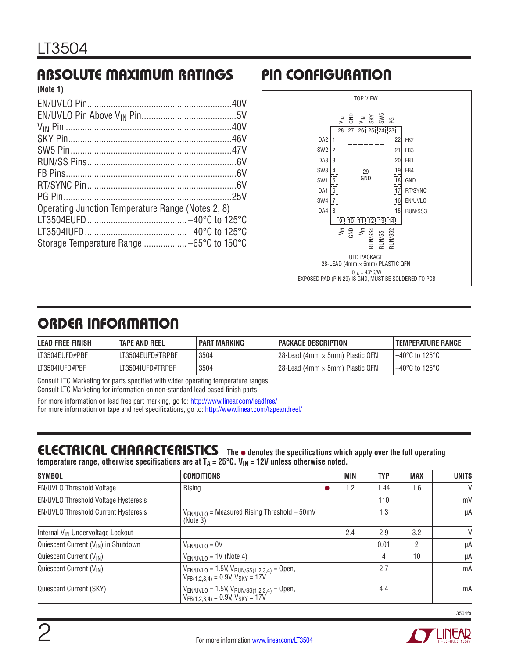#### Absolute Maximum Ratings Pin Configuration **(Note 1)**

| (NOTE 1)                                          |  |
|---------------------------------------------------|--|
|                                                   |  |
|                                                   |  |
|                                                   |  |
|                                                   |  |
|                                                   |  |
|                                                   |  |
|                                                   |  |
|                                                   |  |
|                                                   |  |
| Operating Junction Temperature Range (Notes 2, 8) |  |
|                                                   |  |
|                                                   |  |
|                                                   |  |
|                                                   |  |



# ORDER INFORMATION

| <b>LEAD FREE FINISH</b> | <b>TAPE AND REEL</b> | PART MARKING | <b>PACKAGE DESCRIPTION</b>        | <b>TEMPERATURE RANGE</b> |
|-------------------------|----------------------|--------------|-----------------------------------|--------------------------|
| LT3504EUFD#PBF          | LT3504EUFD#TRPBF     | 3504         | l 28-Lead (4mm × 5mm) Plastic QFN | 1–40°C to 125°C          |
| LT3504IUFD#PBF          | LT3504IUFD#TRPBF     | 3504         | l 28-Lead (4mm × 5mm) Plastic QFN | 1–40°C to 125°C          |

Consult LTC Marketing for parts specified with wider operating temperature ranges. Consult LTC Marketing for information on non-standard lead based finish parts.

For more information on lead free part marking, go to: http://www.linear.com/leadfree/ For more information on tape and reel specifications, go to: http://www.linear.com/tapeandreel/

### **ELECTRICAL CHARACTERISTICS** The  $\bullet$  denotes the specifications which apply over the full operating

temperature range, otherwise specifications are at  $T_A = 25^\circ \text{C}$ .  $V_{\text{IN}} = 12V$  unless otherwise noted.

| <b>SYMBOL</b>                                                                                               | <b>CONDITIONS</b>                                                                                |  | MIN | <b>TYP</b> | <b>MAX</b> | <b>UNITS</b> |
|-------------------------------------------------------------------------------------------------------------|--------------------------------------------------------------------------------------------------|--|-----|------------|------------|--------------|
| EN/UVLO Threshold Voltage                                                                                   | Rising                                                                                           |  | 1.2 | 1.44       | 1.6        | V            |
| EN/UVLO Threshold Voltage Hysteresis                                                                        |                                                                                                  |  |     | 110        |            | mV           |
| <b>EN/UVLO Threshold Current Hysteresis</b><br>$V_{EN/UVLO}$ = Measured Rising Threshold – 50mV<br>(Note 3) |                                                                                                  |  |     | 1.3        |            | μA           |
| Internal V <sub>IN</sub> Undervoltage Lockout                                                               |                                                                                                  |  | 2.4 | 2.9        | 3.2        | V            |
| Quiescent Current (V <sub>IN</sub> ) in Shutdown                                                            | $V_{EN/UVLO} = 0V$                                                                               |  |     | 0.01       | 2          | μA           |
| Quiescent Current (V <sub>IN</sub> )                                                                        | $V_{EN/UVLO}$ = 1V (Note 4)                                                                      |  |     | 4          | 10         | μA           |
| Quiescent Current (V <sub>IN</sub> )                                                                        | $V_{EN/UVLO}$ = 1.5V, $V_{RUN/SS(1,2,3,4)}$ = Open,<br>$V_{FB(1,2,3,4)}$ = 0.9V, $V_{SKY}$ = 17V |  |     | 2.7        |            | mA           |
| Quiescent Current (SKY)                                                                                     | $V_{EN/UVLO}$ = 1.5V, $V_{RUN/SS(1,2,3,4)}$ = Open,<br>$V_{FB(1,2,3,4)}$ = 0.9V, $V_{SKY}$ = 17V |  |     | 4.4        |            | mA           |

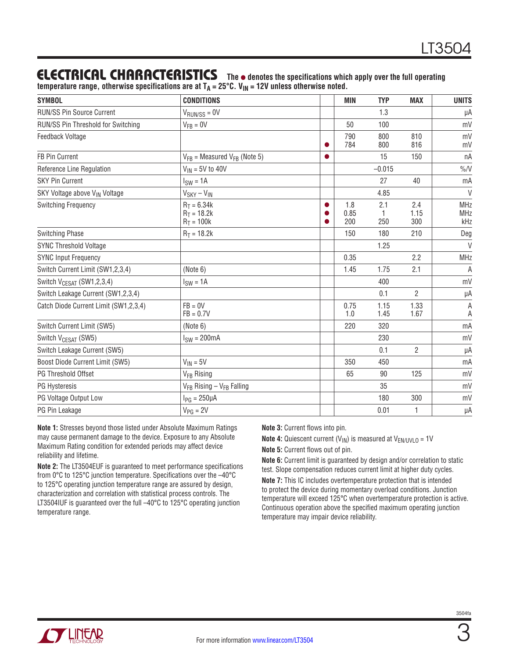### **ELECTRICAL CHARACTERISTICS** The  $\bullet$  denotes the specifications which apply over the full operating

temperature range, otherwise specifications are at T<sub>A</sub> = 25°C. V<sub>IN</sub> = 12V unless otherwise noted.

| <b>SYMBOL</b>                             | <b>CONDITIONS</b>                              | <b>MIN</b>         | <b>TYP</b>   | <b>MAX</b>         | <b>UNITS</b>                    |
|-------------------------------------------|------------------------------------------------|--------------------|--------------|--------------------|---------------------------------|
| <b>RUN/SS Pin Source Current</b>          | $V_{\text{RUN/SS}} = 0V$                       |                    | 1.3          |                    | μA                              |
| RUN/SS Pin Threshold for Switching        | $V_{FB} = 0V$                                  | 50                 | 100          |                    | mV                              |
| Feedback Voltage                          |                                                | 790<br>784         | 800<br>800   | 810<br>816         | mV<br>mV                        |
| FB Pin Current                            | $V_{FB}$ = Measured $V_{FB}$ (Note 5)          |                    | 15           | 150                | nA                              |
| Reference Line Regulation                 | $V_{IN}$ = 5V to 40V                           |                    | $-0.015$     |                    | $\%N$                           |
| <b>SKY Pin Current</b>                    | $ISW = 1A$                                     |                    | 27           | 40                 | mA                              |
| SKY Voltage above V <sub>IN</sub> Voltage | $V_{SKY} - V_{IN}$                             |                    | 4.85         |                    | $\vee$                          |
| <b>Switching Frequency</b>                | $R_T = 6.34k$<br>$R_T = 18.2k$<br>$R_T = 100k$ | 1.8<br>0.85<br>200 | 2.1<br>250   | 2.4<br>1.15<br>300 | <b>MHz</b><br><b>MHz</b><br>kHz |
| Switching Phase                           | $R_T = 18.2k$                                  | 150                | 180          | 210                | Deg                             |
| <b>SYNC Threshold Voltage</b>             |                                                |                    | 1.25         |                    | $\vee$                          |
| <b>SYNC Input Frequency</b>               |                                                | 0.35               |              | 2.2                | <b>MHz</b>                      |
| Switch Current Limit (SW1,2,3,4)          | (Note 6)                                       | 1.45               | 1.75         | 2.1                | A                               |
| Switch V <sub>CESAT</sub> (SW1,2,3,4)     | $I_{SW} = 1A$                                  |                    | 400          |                    | mV                              |
| Switch Leakage Current (SW1,2,3,4)        |                                                |                    | 0.1          | $\overline{2}$     | μA                              |
| Catch Diode Current Limit (SW1,2,3,4)     | $FB = 0V$<br>$FB = 0.7V$                       | 0.75<br>1.0        | 1.15<br>1.45 | 1.33<br>1.67       | А<br>А                          |
| Switch Current Limit (SW5)                | (Note 6)                                       | 220                | 320          |                    | mA                              |
| Switch V <sub>CESAT</sub> (SW5)           | $ISW = 200mA$                                  |                    | 230          |                    | mV                              |
| Switch Leakage Current (SW5)              |                                                |                    | 0.1          | $\overline{2}$     | $\mu A$                         |
| Boost Diode Current Limit (SW5)           | $V_{IN} = 5V$                                  | 350                | 450          |                    | mA                              |
| <b>PG Threshold Offset</b>                | V <sub>FB</sub> Rising                         | 65                 | 90           | 125                | mV                              |
| PG Hysteresis                             | $V_{FR}$ Rising - $V_{FB}$ Falling             |                    | 35           |                    | mV                              |
| PG Voltage Output Low                     | $I_{PG} = 250 \mu A$                           |                    | 180          | 300                | mV                              |
| PG Pin Leakage                            | $V_{PG} = 2V$                                  |                    | 0.01         | 1                  | μA                              |

**Note 1:** Stresses beyond those listed under Absolute Maximum Ratings may cause permanent damage to the device. Exposure to any Absolute Maximum Rating condition for extended periods may affect device reliability and lifetime.

**Note 2:** The LT3504EUF is guaranteed to meet performance specifications from 0°C to 125°C junction temperature. Specifications over the –40°C to 125°C operating junction temperature range are assured by design, characterization and correlation with statistical process controls. The LT3504IUF is guaranteed over the full –40°C to 125°C operating junction temperature range.

**Note 3:** Current flows into pin.

**Note 4:** Quiescent current  $(V_{IN})$  is measured at  $V_{EN/UVLO} = 1V$ 

**Note 5:** Current flows out of pin.

**Note 6:** Current limit is guaranteed by design and/or correlation to static test. Slope compensation reduces current limit at higher duty cycles.

**Note 7:** This IC includes overtemperature protection that is intended to protect the device during momentary overload conditions. Junction temperature will exceed 125°C when overtemperature protection is active. Continuous operation above the specified maximum operating junction temperature may impair device reliability.

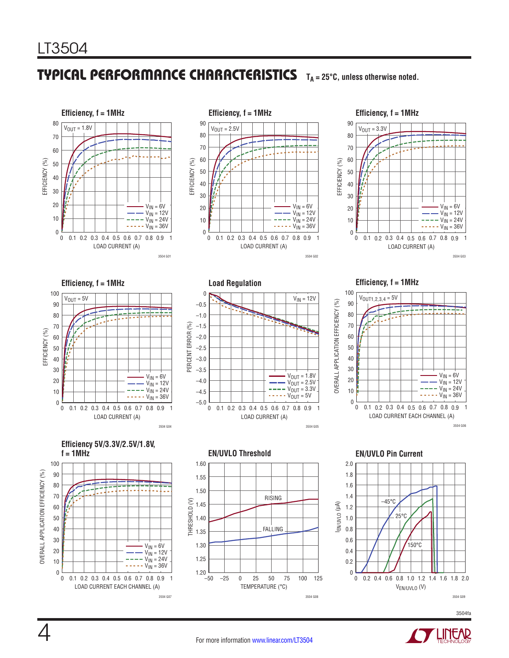## TYPICAL PERFORMANCE CHARACTERISTICS T<sub>A</sub> = 25°C, unless otherwise noted.











**Efficiency, f = 1MHz**







**EN/UVLO Threshold EN/UVLO Pin Current**





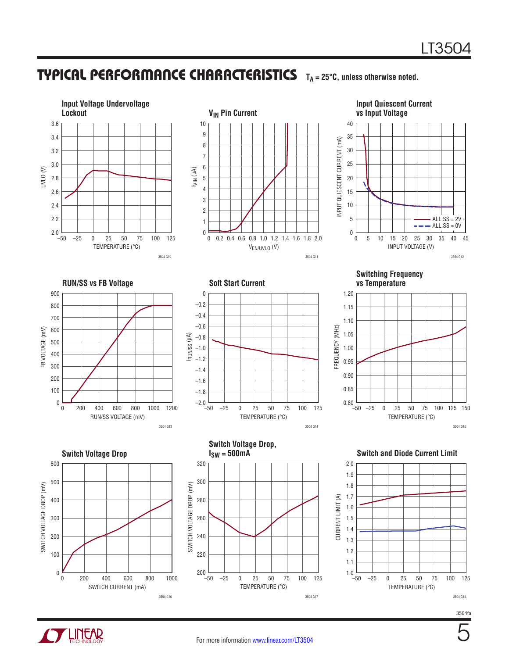#### Typical Performance Characteristics **TA = 25°C, unless otherwise noted.**



3504fa

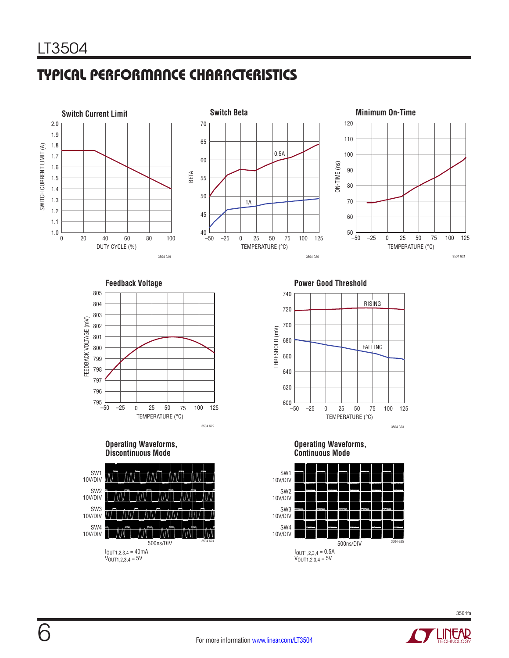# Typical Performance Characteristics









**Operating Waveforms, Discontinuous Mode**



**Feedback Voltage**  Power Good Threshold



**Operating Waveforms, Continuous Mode**

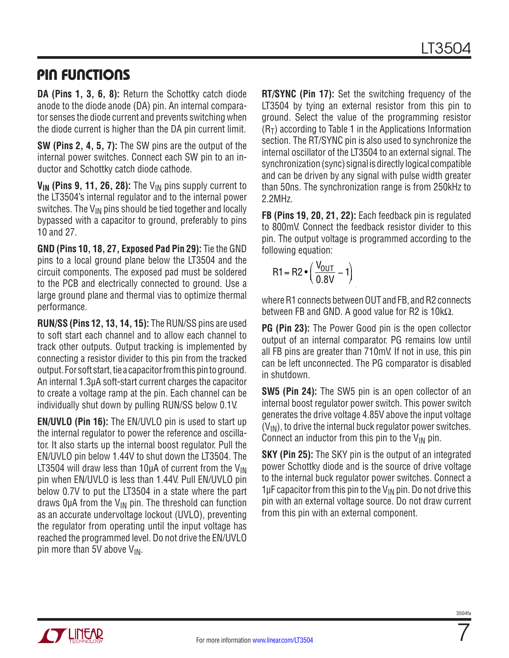### Pin Functions

**DA (Pins 1, 3, 6, 8):** Return the Schottky catch diode anode to the diode anode (DA) pin. An internal comparator senses the diode current and prevents switching when the diode current is higher than the DA pin current limit.

**SW (Pins 2, 4, 5, 7):** The SW pins are the output of the internal power switches. Connect each SW pin to an inductor and Schottky catch diode cathode.

V<sub>IN</sub> (Pins 9, 11, 26, 28): The V<sub>IN</sub> pins supply current to the LT3504's internal regulator and to the internal power switches. The  $V_{IN}$  pins should be tied together and locally bypassed with a capacitor to ground, preferably to pins 10 and 27.

**GND (Pins 10, 18, 27, Exposed Pad Pin 29):** Tie the GND pins to a local ground plane below the LT3504 and the circuit components. The exposed pad must be soldered to the PCB and electrically connected to ground. Use a large ground plane and thermal vias to optimize thermal performance.

**RUN/SS (Pins 12, 13, 14, 15):** The RUN/SS pins are used to soft start each channel and to allow each channel to track other outputs. Output tracking is implemented by connecting a resistor divider to this pin from the tracked output. For soft start, tie a capacitor from this pin to ground. An internal 1.3µA soft-start current charges the capacitor to create a voltage ramp at the pin. Each channel can be individually shut down by pulling RUN/SS below 0.1V.

**EN/UVLO (Pin 16):** The EN/UVLO pin is used to start up the internal regulator to power the reference and oscillator. It also starts up the internal boost regulator. Pull the EN/UVLO pin below 1.44V to shut down the LT3504. The LT3504 will draw less than 10 $\mu$ A of current from the V<sub>IN</sub> pin when EN/UVLO is less than 1.44V. Pull EN/UVLO pin below 0.7V to put the LT3504 in a state where the part draws 0 $\mu$ A from the V<sub>IN</sub> pin. The threshold can function as an accurate undervoltage lockout (UVLO), preventing the regulator from operating until the input voltage has reached the programmed level. Do not drive the EN/UVLO pin more than 5V above  $V_{IN}$ .

**RT/SYNC (Pin 17):** Set the switching frequency of the LT3504 by tying an external resistor from this pin to ground. Select the value of the programming resistor  $(R<sub>T</sub>)$  according to Table 1 in the Applications Information section. The RT/SYNC pin is also used to synchronize the internal oscillator of the LT3504 to an external signal. The synchronization (sync) signal is directly logical compatible and can be driven by any signal with pulse width greater than 50ns. The synchronization range is from 250kHz to 2.2MHz.

**FB (Pins 19, 20, 21, 22):** Each feedback pin is regulated to 800mV. Connect the feedback resistor divider to this pin. The output voltage is programmed according to the following equation:

$$
R1 = R2 \cdot \left(\frac{V_{OUT}}{0.8V} - 1\right)
$$

where R1 connects between OUT and FB, and R2 connects between FB and GND. A good value for R2 is 10kΩ.

**PG (Pin 23):** The Power Good pin is the open collector output of an internal comparator. PG remains low until all FB pins are greater than 710mV. If not in use, this pin can be left unconnected. The PG comparator is disabled in shutdown.

**SW5 (Pin 24):** The SW5 pin is an open collector of an internal boost regulator power switch. This power switch generates the drive voltage 4.85V above the input voltage  $(V_{IN})$ , to drive the internal buck regulator power switches. Connect an inductor from this pin to the  $V_{IN}$  pin.

**SKY (Pin 25):** The SKY pin is the output of an integrated power Schottky diode and is the source of drive voltage to the internal buck regulator power switches. Connect a 1 $\mu$ F capacitor from this pin to the V<sub>IN</sub> pin. Do not drive this pin with an external voltage source. Do not draw current from this pin with an external component.

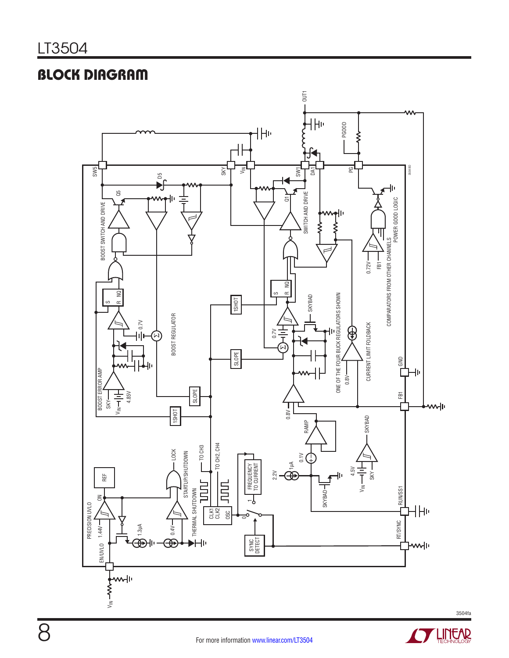# Block Diagram



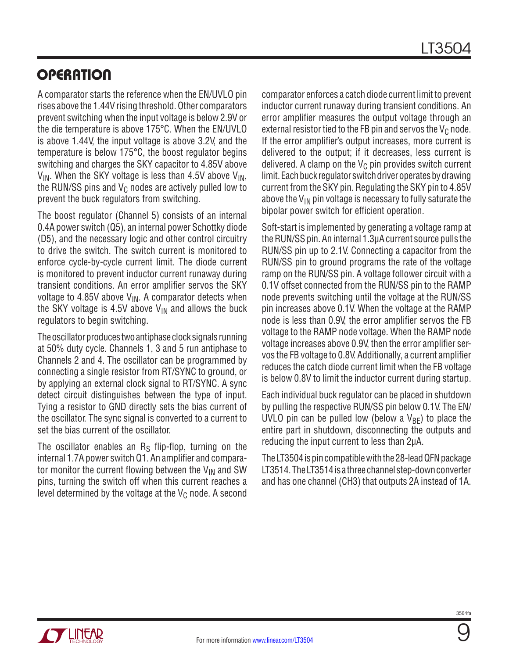# **OPERATION**

A comparator starts the reference when the EN/UVLO pin rises above the 1.44V rising threshold. Other comparators prevent switching when the input voltage is below 2.9V or the die temperature is above 175°C. When the EN/UVLO is above 1.44V, the input voltage is above 3.2V, and the temperature is below 175°C, the boost regulator begins switching and charges the SKY capacitor to 4.85V above  $V_{IN}$ . When the SKY voltage is less than 4.5V above  $V_{IN}$ , the RUN/SS pins and  $V_C$  nodes are actively pulled low to prevent the buck regulators from switching.

The boost regulator (Channel 5) consists of an internal 0.4A power switch (Q5), an internal power Schottky diode (D5), and the necessary logic and other control circuitry to drive the switch. The switch current is monitored to enforce cycle-by-cycle current limit. The diode current is monitored to prevent inductor current runaway during transient conditions. An error amplifier servos the SKY voltage to 4.85V above  $V_{IN}$ . A comparator detects when the SKY voltage is 4.5V above  $V_{\text{IN}}$  and allows the buck regulators to begin switching.

The oscillator produces two antiphase clock signals running at 50% duty cycle. Channels 1, 3 and 5 run antiphase to Channels 2 and 4. The oscillator can be programmed by connecting a single resistor from RT/SYNC to ground, or by applying an external clock signal to RT/SYNC. A sync detect circuit distinguishes between the type of input. Tying a resistor to GND directly sets the bias current of the oscillator. The sync signal is converted to a current to set the bias current of the oscillator.

The oscillator enables an  $R<sub>S</sub>$  flip-flop, turning on the internal 1.7A power switch Q1. An amplifier and comparator monitor the current flowing between the  $V_{IN}$  and SW pins, turning the switch off when this current reaches a level determined by the voltage at the  $V_C$  node. A second comparator enforces a catch diode current limit to prevent inductor current runaway during transient conditions. An error amplifier measures the output voltage through an external resistor tied to the FB pin and servos the  $V_{\rm C}$  node. If the error amplifier's output increases, more current is delivered to the output; if it decreases, less current is delivered. A clamp on the  $V_C$  pin provides switch current limit. Each buck regulator switch driver operates by drawing current from the SKY pin. Regulating the SKY pin to 4.85V above the  $V_{IN}$  pin voltage is necessary to fully saturate the bipolar power switch for efficient operation.

Soft-start is implemented by generating a voltage ramp at the RUN/SS pin. An internal 1.3µA current source pulls the RUN/SS pin up to 2.1V. Connecting a capacitor from the RUN/SS pin to ground programs the rate of the voltage ramp on the RUN/SS pin. A voltage follower circuit with a 0.1V offset connected from the RUN/SS pin to the RAMP node prevents switching until the voltage at the RUN/SS pin increases above 0.1V. When the voltage at the RAMP node is less than 0.9V, the error amplifier servos the FB voltage to the RAMP node voltage. When the RAMP node voltage increases above 0.9V, then the error amplifier servos the FB voltage to 0.8V. Additionally, a current amplifier reduces the catch diode current limit when the FB voltage is below 0.8V to limit the inductor current during startup.

Each individual buck regulator can be placed in shutdown by pulling the respective RUN/SS pin below 0.1V. The EN/ UVLO pin can be pulled low (below a  $V_{BF}$ ) to place the entire part in shutdown, disconnecting the outputs and reducing the input current to less than 2µA.

The LT3504 is pin compatible with the 28-lead QFN package LT3514. The LT3514 is a three channel step-down converter and has one channel (CH3) that outputs 2A instead of 1A.

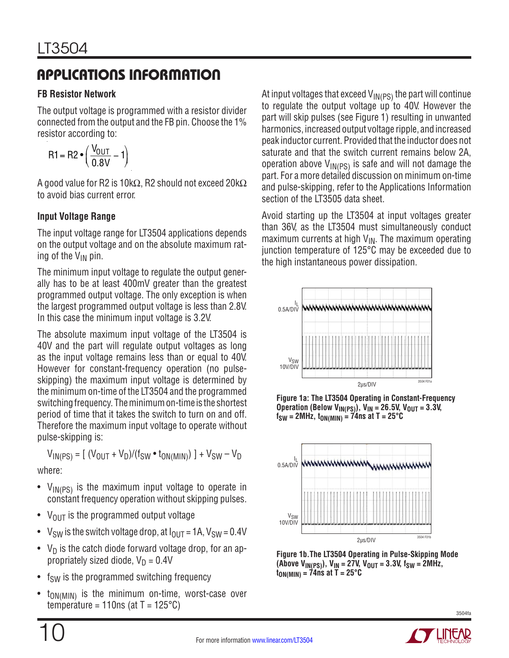### **FB Resistor Network**

The output voltage is programmed with a resistor divider connected from the output and the FB pin. Choose the 1% resistor according to:

$$
R1 = R2 \bullet \left( \frac{V_{OUT}}{0.8V} - 1 \right)
$$

A good value for R2 is 10k $\Omega$ , R2 should not exceed 20k $\Omega$ to avoid bias current error.

### **Input Voltage Range**

The input voltage range for LT3504 applications depends on the output voltage and on the absolute maximum rating of the  $V_{IN}$  pin.

The minimum input voltage to regulate the output generally has to be at least 400mV greater than the greatest programmed output voltage. The only exception is when the largest programmed output voltage is less than 2.8V. In this case the minimum input voltage is 3.2V.

The absolute maximum input voltage of the LT3504 is 40V and the part will regulate output voltages as long as the input voltage remains less than or equal to 40V. However for constant-frequency operation (no pulseskipping) the maximum input voltage is determined by the minimum on-time of the LT3504 and the programmed switching frequency. The minimum on-time is the shortest period of time that it takes the switch to turn on and off. Therefore the maximum input voltage to operate without pulse-skipping is:

$$
V_{IN(PS)} = [ (V_{OUT} + V_D)/(f_{SW} \cdot t_{ON(MIN)}) ] + V_{SW} - V_D
$$

where:

- $V_{IN(PS)}$  is the maximum input voltage to operate in constant frequency operation without skipping pulses.
- $V_{\text{OUT}}$  is the programmed output voltage
- V<sub>SW</sub> is the switch voltage drop, at  $I_{\text{OUT}} = 1$ A, V<sub>SW</sub> = 0.4V
- $V_D$  is the catch diode forward voltage drop, for an appropriately sized diode,  $V_D = 0.4V$
- $f<sub>SW</sub>$  is the programmed switching frequency
- $t_{ON(MIN)}$  is the minimum on-time, worst-case over temperature = 110ns (at  $T = 125^{\circ}C$ )

At input voltages that exceed  $V_{\text{IN(PS)}}$  the part will continue to regulate the output voltage up to 40V. However the part will skip pulses (see Figure 1) resulting in unwanted harmonics, increased output voltage ripple, and increased peak inductor current. Provided that the inductor does not saturate and that the switch current remains below 2A, operation above  $V_{IN(PS)}$  is safe and will not damage the part. For a more detailed discussion on minimum on-time and pulse-skipping, refer to the Applications Information section of the LT3505 data sheet.

Avoid starting up the LT3504 at input voltages greater than 36V, as the LT3504 must simultaneously conduct maximum currents at high  $V_{\text{IN}}$ . The maximum operating junction temperature of 125°C may be exceeded due to the high instantaneous power dissipation.



**Figure 1a: The LT3504 Operating in Constant-Frequency Operation (Below V<sub>IN(PS)</sub>), V<sub>IN</sub> = 26.5V, V<sub>OUT</sub> = 3.3V,**  $f_{SW}$  = 2MHz,  $t_{ON(MIN)} = 74$ ns at T = 25°C



**Figure 1b.The LT3504 Operating in Pulse-Skipping Mode**   $(M_{\text{IN}}(PS))$ ,  $V_{\text{IN}} = 27V$ ,  $V_{\text{OUT}} = 3.3V$ ,  $f_{\text{SW}} = 2MHz$ ,  $t_{ON(MIN)} = 74$ ns at T = 25<sup>o</sup>C

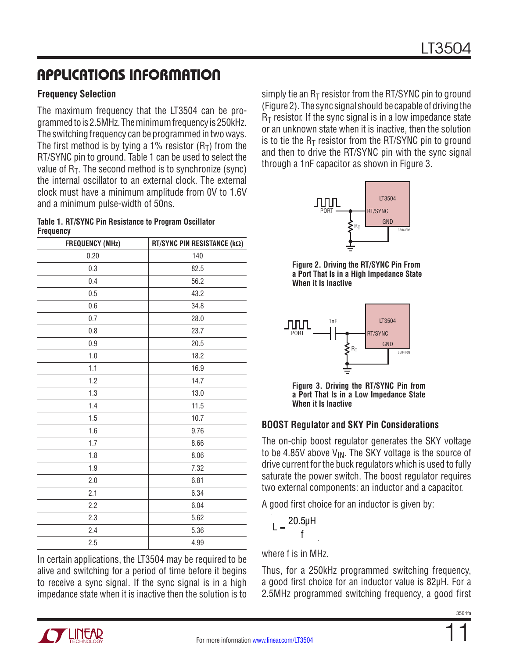### **Frequency Selection**

The maximum frequency that the LT3504 can be programmed to is 2.5MHz. The minimum frequency is 250kHz. The switching frequency can be programmed in two ways. The first method is by tying a 1% resistor  $(R<sub>T</sub>)$  from the RT/SYNC pin to ground. Table 1 can be used to select the value of  $R_T$ . The second method is to synchronize (sync) the internal oscillator to an external clock. The external clock must have a minimum amplitude from 0V to 1.6V and a minimum pulse-width of 50ns.

**Table 1. RT/SYNC Pin Resistance to Program Oscillator Frequency**

| <b>FREQUENCY (MHz)</b> | RT/SYNC PIN RESISTANCE (kΩ) |
|------------------------|-----------------------------|
| 0.20                   | 140                         |
| 0.3                    | 82.5                        |
| 0.4                    | 56.2                        |
| 0.5                    | 43.2                        |
| 0.6                    | 34.8                        |
| 0.7                    | 28.0                        |
| 0.8                    | 23.7                        |
| 0.9                    | 20.5                        |
| 1.0                    | 18.2                        |
| 1.1                    | 16.9                        |
| 1.2                    | 14.7                        |
| 1.3                    | 13.0                        |
| 1.4                    | 11.5                        |
| 1.5                    | 10.7                        |
| 1.6                    | 9.76                        |
| 1.7                    | 8.66                        |
| 1.8                    | 8.06                        |
| 1.9                    | 7.32                        |
| 2.0                    | 6.81                        |
| 2.1                    | 6.34                        |
| 2.2                    | 6.04                        |
| 2.3                    | 5.62                        |
| 2.4                    | 5.36                        |
| 2.5                    | 4.99                        |

In certain applications, the LT3504 may be required to be alive and switching for a period of time before it begins to receive a sync signal. If the sync signal is in a high impedance state when it is inactive then the solution is to simply tie an  $R_T$  resistor from the RT/SYNC pin to ground (Figure 2). The sync signal should be capable of driving the  $R<sub>T</sub>$  resistor. If the sync signal is in a low impedance state or an unknown state when it is inactive, then the solution is to tie the  $R_T$  resistor from the RT/SYNC pin to ground and then to drive the RT/SYNC pin with the sync signal through a 1nF capacitor as shown in Figure 3.



**Figure 2. Driving the RT/SYNC Pin From a Port That Is in a High Impedance State When it Is Inactive**



**Figure 3. Driving the RT/SYNC Pin from a Port That Is in a Low Impedance State When it Is Inactive**

### **BOOST Regulator and SKY Pin Considerations**

The on-chip boost regulator generates the SKY voltage to be 4.85V above  $V_{IN}$ . The SKY voltage is the source of drive current for the buck regulators which is used to fully saturate the power switch. The boost regulator requires two external components: an inductor and a capacitor.

A good first choice for an inductor is given by:

$$
L = \frac{20.5\mu H}{f}
$$

where f is in MHz.

Thus, for a 250kHz programmed switching frequency, a good first choice for an inductor value is 82µH. For a 2.5MHz programmed switching frequency, a good first

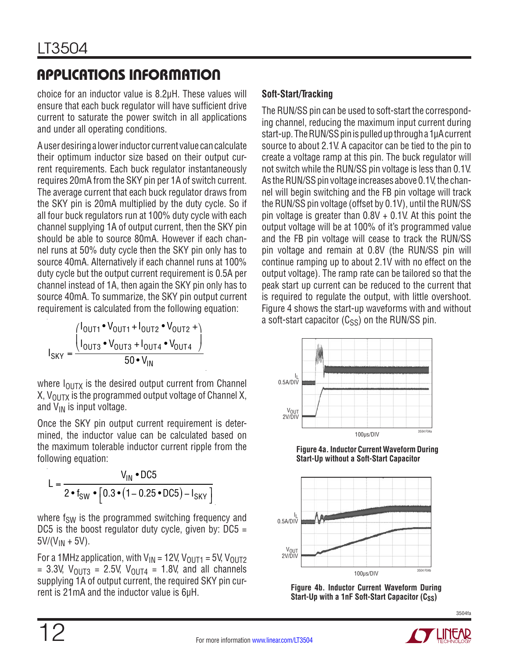choice for an inductor value is 8.2µH. These values will ensure that each buck regulator will have sufficient drive current to saturate the power switch in all applications and under all operating conditions.

A user desiring a lower inductor current value can calculate their optimum inductor size based on their output current requirements. Each buck regulator instantaneously requires 20mA from the SKY pin per 1A of switch current. The average current that each buck regulator draws from the SKY pin is 20mA multiplied by the duty cycle. So if all four buck regulators run at 100% duty cycle with each channel supplying 1A of output current, then the SKY pin should be able to source 80mA. However if each channel runs at 50% duty cycle then the SKY pin only has to source 40mA. Alternatively if each channel runs at 100% duty cycle but the output current requirement is 0.5A per channel instead of 1A, then again the SKY pin only has to source 40mA. To summarize, the SKY pin output current requirement is calculated from the following equation:

$$
I_{SKY} = \frac{{\binom{1_{OUT1} \bullet V_{OUT1} + 1_{OUT2} \bullet V_{OUT2} + }{1_{OUT3} \bullet V_{OUT3} + 1_{OUT4} \bullet V_{OUT4}}}}{{\frac{50 \bullet V_{IN}}{}}
$$

where  $I_{\text{OUTX}}$  is the desired output current from Channel X,  $V_{\text{OUTX}}$  is the programmed output voltage of Channel X, and  $V_{IN}$  is input voltage.

Once the SKY pin output current requirement is determined, the inductor value can be calculated based on the maximum tolerable inductor current ripple from the following equation:

$$
L = \frac{V_{IN} \cdot DC5}{2 \cdot f_{SW} \cdot [0.3 \cdot (1 - 0.25 \cdot DC5) - I_{SKY} ]}
$$

where  $f_{SW}$  is the programmed switching frequency and DC5 is the boost regulator duty cycle, given by:  $DC5 =$  $5V/(V_{IN} + 5V)$ .

For a 1MHz application, with  $V_{IN}$  = 12V,  $V_{OUT1}$  = 5V,  $V_{OUT2}$ = 3.3V,  $V_{\text{OUT3}}$  = 2.5V,  $V_{\text{OUT4}}$  = 1.8V, and all channels supplying 1A of output current, the required SKY pin current is 21mA and the inductor value is 6µH.

### **Soft-Start/Tracking**

The RUN/SS pin can be used to soft-start the corresponding channel, reducing the maximum input current during start-up. The RUN/SS pin is pulled up through a 1µA current source to about 2.1V. A capacitor can be tied to the pin to create a voltage ramp at this pin. The buck regulator will not switch while the RUN/SS pin voltage is less than 0.1V. As the RUN/SS pin voltage increases above 0.1V, the channel will begin switching and the FB pin voltage will track the RUN/SS pin voltage (offset by 0.1V), until the RUN/SS pin voltage is greater than 0.8V + 0.1V. At this point the output voltage will be at 100% of it's programmed value and the FB pin voltage will cease to track the RUN/SS pin voltage and remain at 0.8V (the RUN/SS pin will continue ramping up to about 2.1V with no effect on the output voltage). The ramp rate can be tailored so that the peak start up current can be reduced to the current that is required to regulate the output, with little overshoot. Figure 4 shows the start-up waveforms with and without a soft-start capacitor  $(C_{SS})$  on the RUN/SS pin.



**Figure 4a. Inductor Current Waveform During Start-Up without a Soft-Start Capacitor**





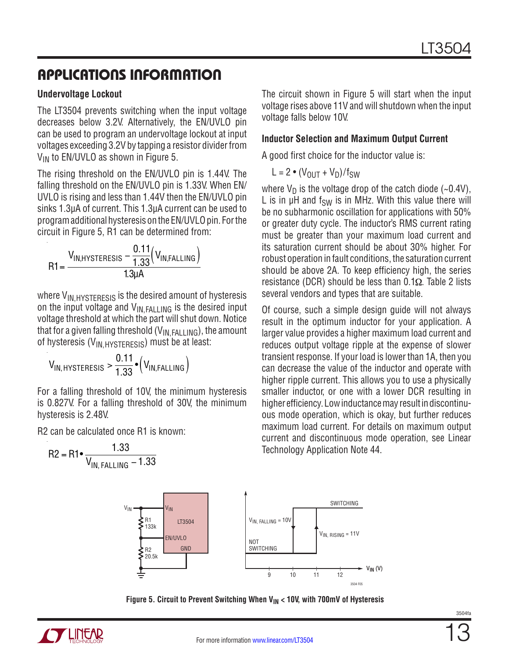#### **Undervoltage Lockout**

The LT3504 prevents switching when the input voltage decreases below 3.2V. Alternatively, the EN/UVLO pin can be used to program an undervoltage lockout at input voltages exceeding 3.2V by tapping a resistor divider from  $V_{IN}$  to EN/UVLO as shown in Figure 5.

The rising threshold on the EN/UVLO pin is 1.44V. The falling threshold on the EN/UVLO pin is 1.33V. When EN/ UVLO is rising and less than 1.44V then the EN/UVLO pin sinks 1.3µA of current. This 1.3µA current can be used to program additional hysteresis on the EN/UVLO pin. For the circuit in Figure 5, R1 can be determined from:

$$
R1 = \frac{V_{IN,HYSTERESIS} - \frac{0.11}{1.33} (V_{IN, FALLING})}{1.3 \mu A}
$$

where V<sub>IN, HYSTERESIS</sub> is the desired amount of hysteresis on the input voltage and  $V_{IN, FALLING}$  is the desired input voltage threshold at which the part will shut down. Notice that for a given falling threshold  $(V_{IN, FALLING})$ , the amount of hysteresis ( $V_{IN.HYSTERESIS}$ ) must be at least:

$$
V_{\text{IN}, \text{HYSTERESIS}} > \frac{0.11}{1.33} \cdot \left(V_{\text{IN}, \text{FALLING}}\right)
$$

For a falling threshold of 10V, the minimum hysteresis is 0.827V. For a falling threshold of 30V, the minimum hysteresis is 2.48V.

R2 can be calculated once R1 is known:

$$
R2 = R1 \cdot \frac{1.33}{V_{IN, FALLING} - 1.33}
$$
  
\n
$$
V_{IN} = \frac{R1}{133k}
$$
  
\n
$$
V_{IN} = \frac{R1}{133k}
$$
  
\n
$$
V_{IN} = 1.33k
$$
  
\n
$$
V_{IN} = 1.33k
$$
  
\n
$$
V_{IN} = 1.33k
$$
  
\n
$$
V_{IN} = 1.33k
$$
  
\n
$$
V_{IN} = 1.33k
$$
  
\n
$$
V_{IN} = 1.33k
$$
  
\n
$$
V_{IN} = 1.33k
$$
  
\n
$$
V_{IN} = 1.33k
$$
  
\n
$$
V_{IN} = 1.33k
$$
  
\n
$$
V_{IN} = 1.33k
$$
  
\n
$$
V_{IN} = 1.33k
$$
  
\n
$$
V_{IN} = 1.33k
$$
  
\n
$$
V_{IN} = 1.33k
$$
  
\n
$$
V_{IN} = 1.33k
$$
  
\n
$$
V_{IN} = 1.33k
$$
  
\n
$$
V_{IN} = 1.33k
$$
  
\n
$$
V_{IN} = 1.33k
$$
  
\n
$$
V_{IN} = 1.33k
$$
  
\n
$$
V_{IN} = 1.33k
$$
  
\n
$$
V_{IN} = 1.33k
$$
  
\n
$$
V_{IN} = 1.33k
$$
  
\n
$$
V_{IN} = 1.33k
$$
  
\n
$$
V_{IN} = 1.33k
$$
  
\n
$$
V_{IN} = 1.33k
$$
  
\n
$$
V_{IN} = 1.33k
$$
  
\n
$$
V_{IN} = 1.33k
$$



The circuit shown in Figure 5 will start when the input voltage rises above 11V and will shutdown when the input voltage falls below 10V.

#### **Inductor Selection and Maximum Output Current**

A good first choice for the inductor value is:

$$
L = 2 \cdot (V_{OUT} + V_D) / f_{SW}
$$

where  $V_D$  is the voltage drop of the catch diode (~0.4V), L is in  $\mu$ H and f<sub>SW</sub> is in MHz. With this value there will be no subharmonic oscillation for applications with 50% or greater duty cycle. The inductor's RMS current rating must be greater than your maximum load current and its saturation current should be about 30% higher. For robust operation in fault conditions, the saturation current should be above 2A. To keep efficiency high, the series resistance (DCR) should be less than  $0.1\Omega$ . Table 2 lists several vendors and types that are suitable.

Of course, such a simple design guide will not always result in the optimum inductor for your application. A larger value provides a higher maximum load current and reduces output voltage ripple at the expense of slower transient response. If your load is lower than 1A, then you can decrease the value of the inductor and operate with higher ripple current. This allows you to use a physically smaller inductor, or one with a lower DCR resulting in higher efficiency. Low inductance may result in discontinuous mode operation, which is okay, but further reduces maximum load current. For details on maximum output current and discontinuous mode operation, see Linear Technology Application Note 44.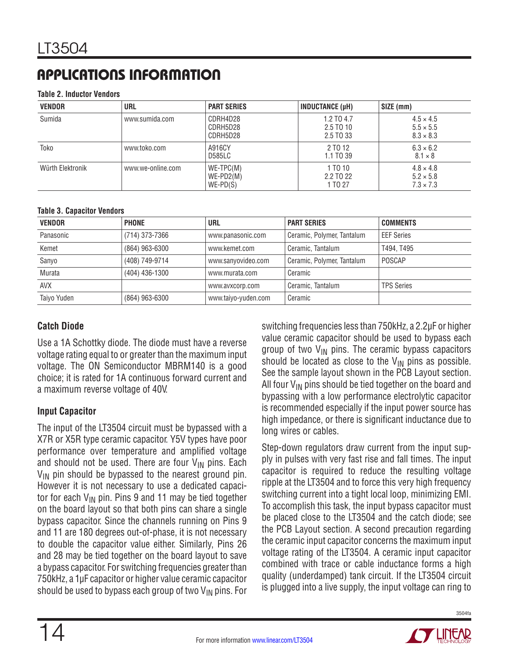#### **Table 2. Inductor Vendors**

| <b>VENDOR</b>    | URL               | <b>PART SERIES</b>                       | <b>INDUCTANCE (µH)</b>               | SIZE (mm)                                                |
|------------------|-------------------|------------------------------------------|--------------------------------------|----------------------------------------------------------|
| Sumida           | www.sumida.com    | CDRH4D28<br>CDRH5D28<br>CDRH5D28         | 1.2 TO 4.7<br>2.5 TO 10<br>2.5 TO 33 | $4.5 \times 4.5$<br>$5.5 \times 5.5$<br>$8.3 \times 8.3$ |
| Toko             | www.toko.com      | A916CY<br><b>D585LC</b>                  | 2 TO 12<br>1.1 TO 39                 | $6.3 \times 6.2$<br>$8.1 \times 8$                       |
| Würth Elektronik | www.we-online.com | $WE-TPC(M)$<br>$WE-PD2(M)$<br>$WE-PD(S)$ | 1 TO 10<br>2.2 TO 22<br>1 TO 27      | $4.8 \times 4.8$<br>$5.2 \times 5.8$<br>$7.3 \times 7.3$ |

#### **Table 3. Capacitor Vendors**

| <b>VENDOR</b> | <b>PHONE</b>   | <b>URL</b>          | <b>PART SERIES</b>         | <b>COMMENTS</b>   |
|---------------|----------------|---------------------|----------------------------|-------------------|
| Panasonic     | (714) 373-7366 | www.panasonic.com   | Ceramic, Polymer, Tantalum | <b>EEF Series</b> |
| Kemet         | (864) 963-6300 | www.kemet.com       | Ceramic, Tantalum          | T494, T495        |
| Sanyo         | (408) 749-9714 | www.sanyovideo.com  | Ceramic, Polymer, Tantalum | POSCAP            |
| Murata        | (404) 436-1300 | www.murata.com      | Ceramic                    |                   |
| <b>AVX</b>    |                | www.avxcorp.com     | Ceramic, Tantalum          | <b>TPS Series</b> |
| Taiyo Yuden   | (864) 963-6300 | www.taiyo-yuden.com | Ceramic                    |                   |

#### **Catch Diode**

Use a 1A Schottky diode. The diode must have a reverse voltage rating equal to or greater than the maximum input voltage. The ON Semiconductor MBRM140 is a good choice; it is rated for 1A continuous forward current and a maximum reverse voltage of 40V.

#### **Input Capacitor**

The input of the LT3504 circuit must be bypassed with a X7R or X5R type ceramic capacitor. Y5V types have poor performance over temperature and amplified voltage and should not be used. There are four  $V_{IN}$  pins. Each  $V_{IN}$  pin should be bypassed to the nearest ground pin. However it is not necessary to use a dedicated capacitor for each  $V_{IN}$  pin. Pins 9 and 11 may be tied together on the board layout so that both pins can share a single bypass capacitor. Since the channels running on Pins 9 and 11 are 180 degrees out-of-phase, it is not necessary to double the capacitor value either. Similarly, Pins 26 and 28 may be tied together on the board layout to save a bypass capacitor. For switching frequencies greater than 750kHz, a 1µF capacitor or higher value ceramic capacitor should be used to bypass each group of two  $V_{IN}$  pins. For switching frequencies less than 750kHz, a 2.2µF or higher value ceramic capacitor should be used to bypass each group of two  $V_{\text{IN}}$  pins. The ceramic bypass capacitors should be located as close to the  $V_{IN}$  pins as possible. See the sample layout shown in the PCB Layout section. All four  $V_{IN}$  pins should be tied together on the board and bypassing with a low performance electrolytic capacitor is recommended especially if the input power source has high impedance, or there is significant inductance due to long wires or cables.

Step-down regulators draw current from the input supply in pulses with very fast rise and fall times. The input capacitor is required to reduce the resulting voltage ripple at the LT3504 and to force this very high frequency switching current into a tight local loop, minimizing EMI. To accomplish this task, the input bypass capacitor must be placed close to the LT3504 and the catch diode; see the PCB Layout section. A second precaution regarding the ceramic input capacitor concerns the maximum input voltage rating of the LT3504. A ceramic input capacitor combined with trace or cable inductance forms a high quality (underdamped) tank circuit. If the LT3504 circuit is plugged into a live supply, the input voltage can ring to

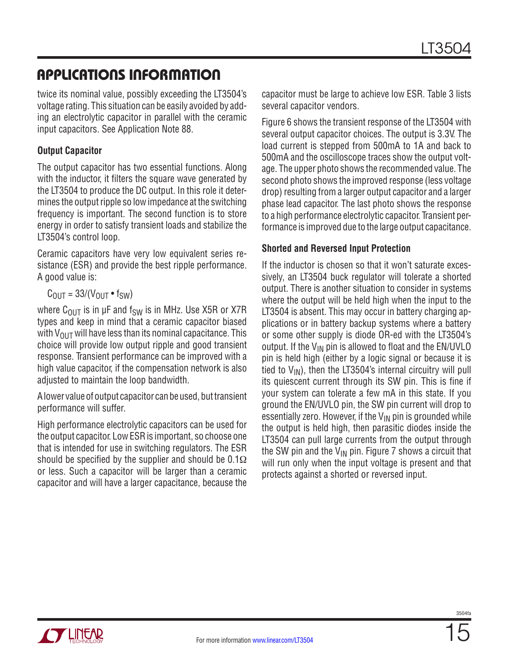twice its nominal value, possibly exceeding the LT3504's voltage rating. This situation can be easily avoided by adding an electrolytic capacitor in parallel with the ceramic input capacitors. See Application Note 88.

### **Output Capacitor**

The output capacitor has two essential functions. Along with the inductor, it filters the square wave generated by the LT3504 to produce the DC output. In this role it determines the output ripple so low impedance at the switching frequency is important. The second function is to store energy in order to satisfy transient loads and stabilize the LT3504's control loop.

Ceramic capacitors have very low equivalent series resistance (ESR) and provide the best ripple performance. A good value is:

 $C<sub>OUT</sub> = 33/(V<sub>OUT</sub> • f<sub>SW</sub>)$ 

where  $C_{OUT}$  is in µF and  $f_{SW}$  is in MHz. Use X5R or X7R types and keep in mind that a ceramic capacitor biased with  $V_{\text{OUT}}$  will have less than its nominal capacitance. This choice will provide low output ripple and good transient response. Transient performance can be improved with a high value capacitor, if the compensation network is also adjusted to maintain the loop bandwidth.

A lower value of output capacitor can be used, but transient performance will suffer.

High performance electrolytic capacitors can be used for the output capacitor. Low ESR is important, so choose one that is intended for use in switching regulators. The ESR should be specified by the supplier and should be  $0.1\Omega$ or less. Such a capacitor will be larger than a ceramic capacitor and will have a larger capacitance, because the capacitor must be large to achieve low ESR. Table 3 lists several capacitor vendors.

Figure 6 shows the transient response of the LT3504 with several output capacitor choices. The output is 3.3V. The load current is stepped from 500mA to 1A and back to 500mA and the oscilloscope traces show the output voltage. The upper photo shows the recommended value. The second photo shows the improved response (less voltage drop) resulting from a larger output capacitor and a larger phase lead capacitor. The last photo shows the response to a high performance electrolytic capacitor. Transient performance is improved due to the large output capacitance.

#### **Shorted and Reversed Input Protection**

If the inductor is chosen so that it won't saturate excessively, an LT3504 buck regulator will tolerate a shorted output. There is another situation to consider in systems where the output will be held high when the input to the LT3504 is absent. This may occur in battery charging applications or in battery backup systems where a battery or some other supply is diode OR-ed with the LT3504's output. If the  $V_{IN}$  pin is allowed to float and the EN/UVLO pin is held high (either by a logic signal or because it is tied to  $V_{IN}$ ), then the LT3504's internal circuitry will pull its quiescent current through its SW pin. This is fine if your system can tolerate a few mA in this state. If you ground the EN/UVLO pin, the SW pin current will drop to essentially zero. However, if the  $V_{IN}$  pin is grounded while the output is held high, then parasitic diodes inside the LT3504 can pull large currents from the output through the SW pin and the  $V_{IN}$  pin. Figure 7 shows a circuit that will run only when the input voltage is present and that protects against a shorted or reversed input.

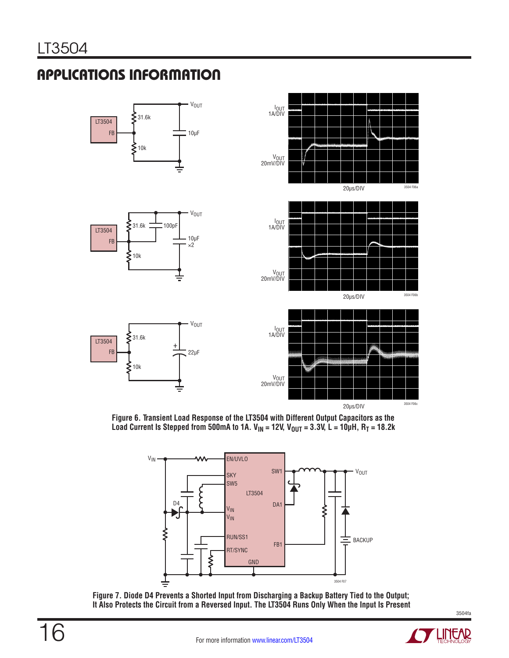16

# applications information



**Figure 6. Transient Load Response of the LT3504 with Different Output Capacitors as the**  Load Current Is Stepped from 500mA to 1A. V<sub>IN</sub> = 12V, V<sub>OUT</sub> = 3.3V, L = 10µH, R<sub>T</sub> = 18.2k



**Figure 7. Diode D4 Prevents a Shorted Input from Discharging a Backup Battery Tied to the Output; It Also Protects the Circuit from a Reversed Input. The LT3504 Runs Only When the Input Is Present**

LINEAR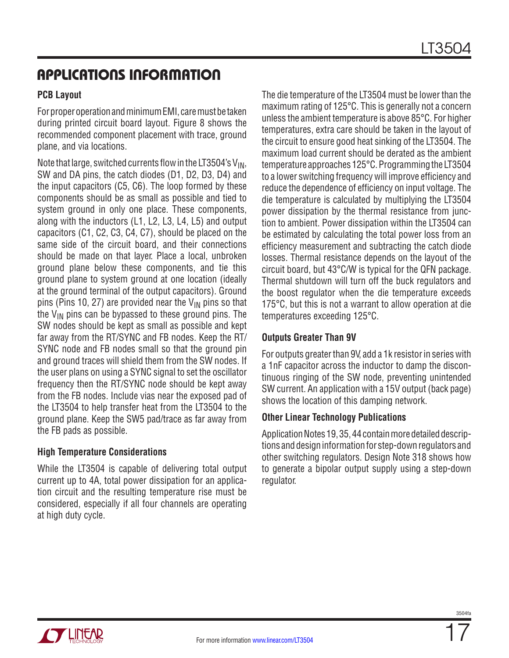### **PCB Layout**

For proper operation and minimum EMI, care must be taken during printed circuit board layout. Figure 8 shows the recommended component placement with trace, ground plane, and via locations.

Note that large, switched currents flow in the LT3504's  $V_{IN}$ , SW and DA pins, the catch diodes (D1, D2, D3, D4) and the input capacitors (C5, C6). The loop formed by these components should be as small as possible and tied to system ground in only one place. These components, along with the inductors (L1, L2, L3, L4, L5) and output capacitors (C1, C2, C3, C4, C7), should be placed on the same side of the circuit board, and their connections should be made on that layer. Place a local, unbroken ground plane below these components, and tie this ground plane to system ground at one location (ideally at the ground terminal of the output capacitors). Ground pins (Pins 10, 27) are provided near the  $V_{IN}$  pins so that the  $V_{IN}$  pins can be bypassed to these ground pins. The SW nodes should be kept as small as possible and kept far away from the RT/SYNC and FB nodes. Keep the RT/ SYNC node and FB nodes small so that the ground pin and ground traces will shield them from the SW nodes. If the user plans on using a SYNC signal to set the oscillator frequency then the RT/SYNC node should be kept away from the FB nodes. Include vias near the exposed pad of the LT3504 to help transfer heat from the LT3504 to the ground plane. Keep the SW5 pad/trace as far away from the FB pads as possible.

### **High Temperature Considerations**

While the LT3504 is capable of delivering total output current up to 4A, total power dissipation for an application circuit and the resulting temperature rise must be considered, especially if all four channels are operating at high duty cycle.

The die temperature of the LT3504 must be lower than the maximum rating of 125°C. This is generally not a concern unless the ambient temperature is above 85°C. For higher temperatures, extra care should be taken in the layout of the circuit to ensure good heat sinking of the LT3504. The maximum load current should be derated as the ambient temperature approaches 125°C. Programming the LT3504 to a lower switching frequency will improve efficiency and reduce the dependence of efficiency on input voltage. The die temperature is calculated by multiplying the LT3504 power dissipation by the thermal resistance from junction to ambient. Power dissipation within the LT3504 can be estimated by calculating the total power loss from an efficiency measurement and subtracting the catch diode losses. Thermal resistance depends on the layout of the circuit board, but 43°C/W is typical for the QFN package. Thermal shutdown will turn off the buck regulators and the boost regulator when the die temperature exceeds 175°C, but this is not a warrant to allow operation at die temperatures exceeding 125°C.

### **Outputs Greater Than 9V**

For outputs greater than 9V, add a 1k resistor in series with a 1nF capacitor across the inductor to damp the discontinuous ringing of the SW node, preventing unintended SW current. An application with a 15V output (back page) shows the location of this damping network.

### **Other Linear Technology Publications**

Application Notes 19, 35, 44 contain more detailed descriptions and design information for step-down regulators and other switching regulators. Design Note 318 shows how to generate a bipolar output supply using a step-down regulator.

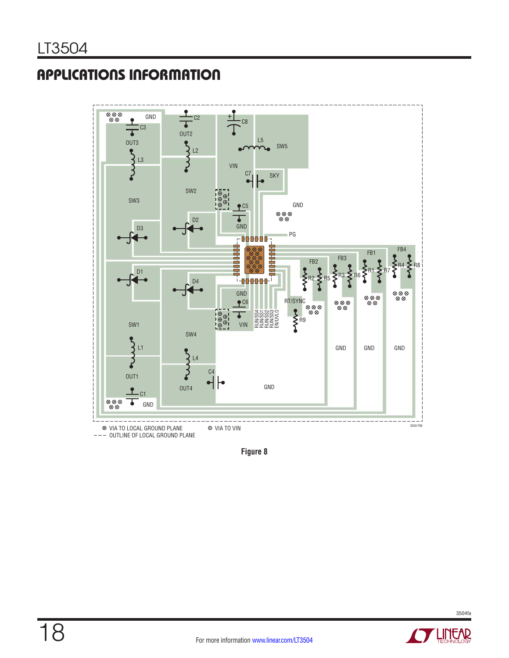

**Figure 8**

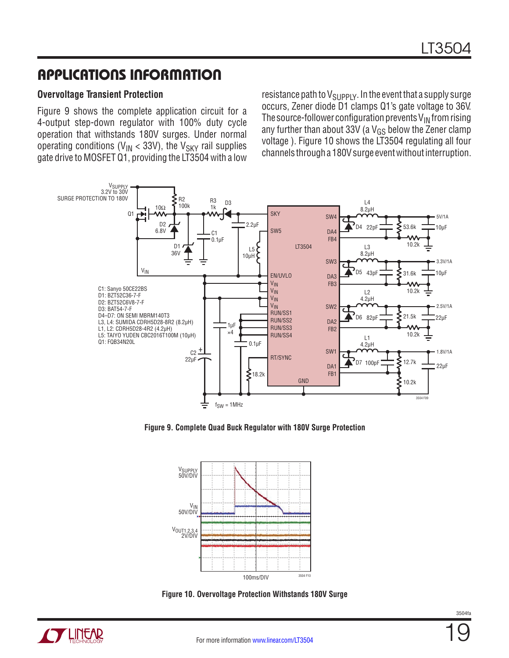#### **Overvoltage Transient Protection**

Figure 9 shows the complete application circuit for a 4-output step-down regulator with 100% duty cycle operation that withstands 180V surges. Under normal operating conditions ( $V_{IN}$  < 33V), the  $V_{SKY}$  rail supplies gate drive to MOSFET Q1, providing the LT3504 with a low

resistance path to  $V_{\text{SUPPLY}}$ . In the event that a supply surge occurs, Zener diode D1 clamps Q1's gate voltage to 36V. The source-follower configuration prevents  $V_{IN}$  from rising any further than about 33V (a  $V_{GS}$  below the Zener clamp voltage ). Figure 10 shows the LT3504 regulating all four channels through a 180V surge event without interruption.



**Figure 9. Complete Quad Buck Regulator with 180V Surge Protection**



**Figure 10. Overvoltage Protection Withstands 180V Surge**

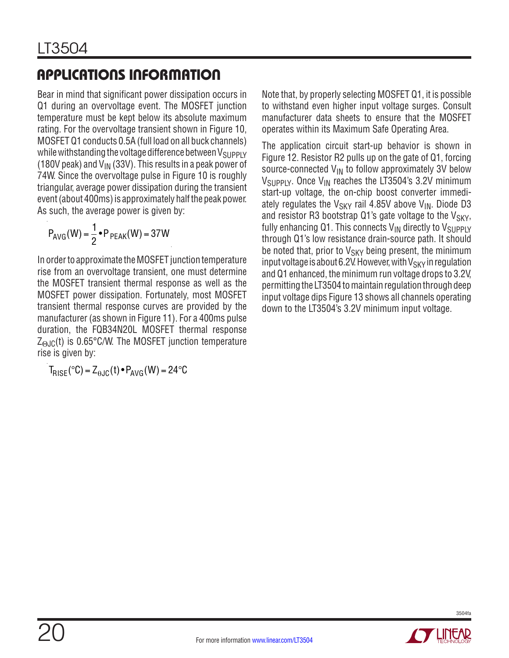Bear in mind that significant power dissipation occurs in Q1 during an overvoltage event. The MOSFET junction temperature must be kept below its absolute maximum rating. For the overvoltage transient shown in Figure 10, MOSFET Q1 conducts 0.5A (full load on all buck channels) while withstanding the voltage difference between  $V_{SUPPIY}$ (180V peak) and  $V_{IN}$  (33V). This results in a peak power of 74W. Since the overvoltage pulse in Figure 10 is roughly triangular, average power dissipation during the transient event (about 400ms) is approximately half the peak power. As such, the average power is given by:

$$
P_{AVG}(W) = \frac{1}{2} \cdot P_{PEAK}(W) = 37W
$$

In order to approximate the MOSFET junction temperature rise from an overvoltage transient, one must determine the MOSFET transient thermal response as well as the MOSFET power dissipation. Fortunately, most MOSFET transient thermal response curves are provided by the manufacturer (as shown in Figure 11). For a 400ms pulse duration, the FQB34N20L MOSFET thermal response  $Z_{\Theta, \text{JC}}(t)$  is 0.65°C/W. The MOSFET junction temperature rise is given by:

$$
T_{RISE}({}^\circ C)=Z_{\theta JC}(t)\bullet P_{AVG}(W)=24 {}^\circ C
$$

Note that, by properly selecting MOSFET Q1, it is possible to withstand even higher input voltage surges. Consult manufacturer data sheets to ensure that the MOSFET operates within its Maximum Safe Operating Area.

The application circuit start-up behavior is shown in Figure 12. Resistor R2 pulls up on the gate of Q1, forcing source-connected  $V_{IN}$  to follow approximately 3V below  $V_{\text{SUPPIY}}$ . Once  $V_{\text{IN}}$  reaches the LT3504's 3.2V minimum start-up voltage, the on-chip boost converter immediately regulates the  $V_{SKY}$  rail 4.85V above  $V_{IN}$ . Diode D3 and resistor R3 bootstrap Q1's gate voltage to the  $V_{SKY}$ , fully enhancing Q1. This connects  $V_{IN}$  directly to  $V_{SUPPLY}$ through Q1's low resistance drain-source path. It should be noted that, prior to  $V_{SKY}$  being present, the minimum input voltage is about 6.2V. However, with  $V_{SKY}$  in regulation and Q1 enhanced, the minimum run voltage drops to 3.2V, permitting the LT3504 to maintain regulation through deep input voltage dips Figure 13 shows all channels operating down to the LT3504's 3.2V minimum input voltage.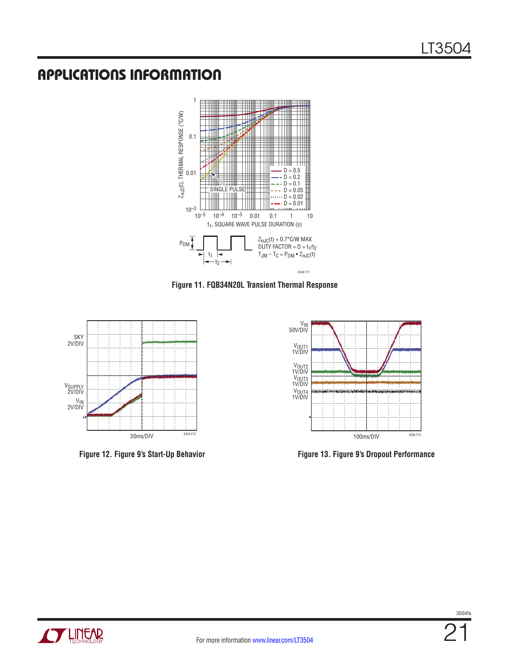

**Figure 11. FQB34N20L Transient Thermal Response**





**Figure 12. Figure 9's Start-Up Behavior Figure 13. Figure 9's Dropout Performance**

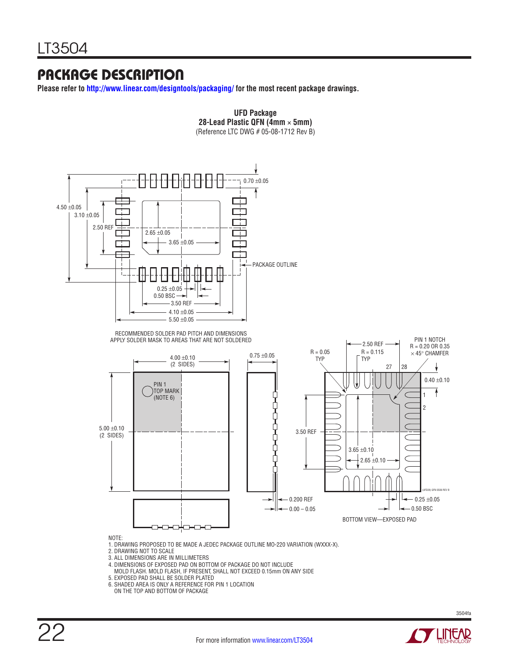### Package Description

**Please refer to http://www.linear.com/designtools/packaging/ for the most recent package drawings.**



**UFD Package**

- 
- 4. DIMENSIONS OF EXPOSED PAD ON BOTTOM OF PACKAGE DO NOT INCLUDE MOLD FLASH. MOLD FLASH, IF PRESENT, SHALL NOT EXCEED 0.15mm ON ANY SIDE
- 
- 5. EXPOSED PAD SHALL BE SOLDER PLATED 6. SHADED AREA IS ONLY A REFERENCE FOR PIN 1 LOCATION
- ON THE TOP AND BOTTOM OF PACKAGE

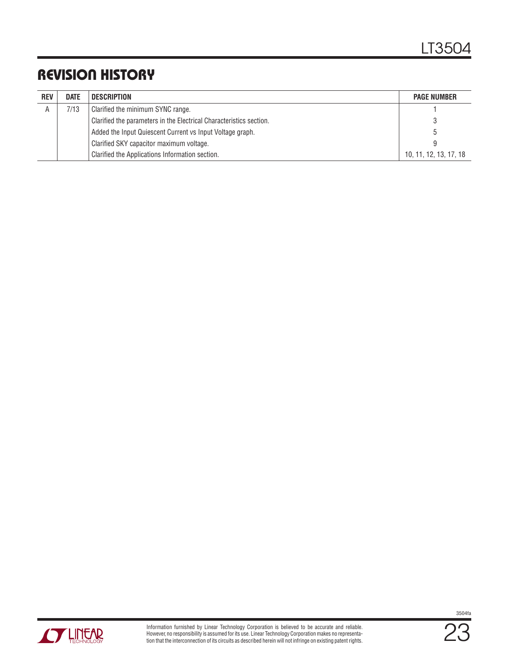# Revision History

| <b>REV</b> | <b>DATE</b> | DESCRIPTION                                                         | <b>PAGE NUMBER</b>     |
|------------|-------------|---------------------------------------------------------------------|------------------------|
|            | 7/13        | Clarified the minimum SYNC range.                                   |                        |
|            |             | Clarified the parameters in the Electrical Characteristics section. |                        |
|            |             | Added the Input Quiescent Current vs Input Voltage graph.           |                        |
|            |             | Clarified SKY capacitor maximum voltage.                            |                        |
|            |             | Clarified the Applications Information section.                     | 10, 11, 12, 13, 17, 18 |